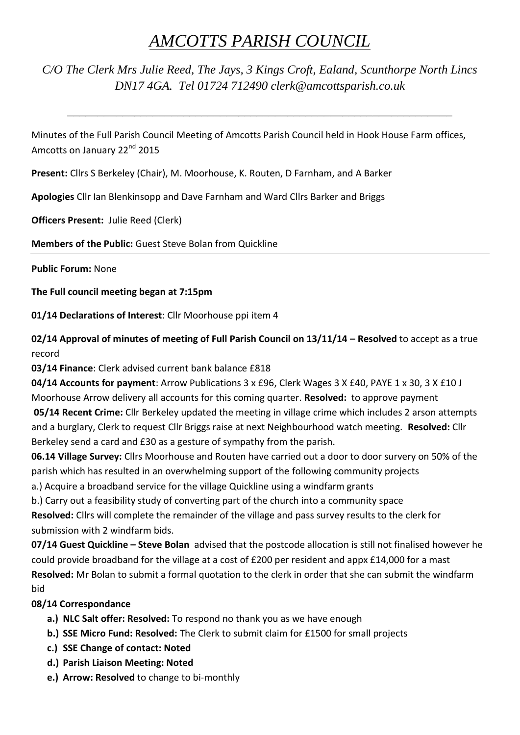## *AMCOTTS PARISH COUNCIL*

*C/O The Clerk Mrs Julie Reed, The Jays, 3 Kings Croft, Ealand, Scunthorpe North Lincs DN17 4GA. Tel 01724 712490 clerk@amcottsparish.co.uk*

*\_\_\_\_\_\_\_\_\_\_\_\_\_\_\_\_\_\_\_\_\_\_\_\_\_\_\_\_\_\_\_\_\_\_\_\_\_\_\_\_\_\_\_\_\_\_\_\_\_\_\_\_\_\_\_\_\_\_\_\_\_\_\_*

Minutes of the Full Parish Council Meeting of Amcotts Parish Council held in Hook House Farm offices, Amcotts on January 22<sup>nd</sup> 2015

**Present:** Cllrs S Berkeley (Chair), M. Moorhouse, K. Routen, D Farnham, and A Barker

**Apologies** Cllr Ian Blenkinsopp and Dave Farnham and Ward Cllrs Barker and Briggs

**Officers Present:** Julie Reed (Clerk)

**Members of the Public:** Guest Steve Bolan from Quickline

**Public Forum:** None

**The Full council meeting began at 7:15pm**

**01/14 Declarations of Interest**: Cllr Moorhouse ppi item 4

**02/14 Approval of minutes of meeting of Full Parish Council on 13/11/14 – Resolved** to accept as a true record

**03/14 Finance**: Clerk advised current bank balance £818

**04/14 Accounts for payment**: Arrow Publications 3 x £96, Clerk Wages 3 X £40, PAYE 1 x 30, 3 X £10 J Moorhouse Arrow delivery all accounts for this coming quarter. **Resolved:** to approve payment

**05/14 Recent Crime:** Cllr Berkeley updated the meeting in village crime which includes 2 arson attempts and a burglary, Clerk to request Cllr Briggs raise at next Neighbourhood watch meeting. **Resolved:** Cllr Berkeley send a card and £30 as a gesture of sympathy from the parish.

**06.14 Village Survey:** Cllrs Moorhouse and Routen have carried out a door to door survery on 50% of the parish which has resulted in an overwhelming support of the following community projects

a.) Acquire a broadband service for the village Quickline using a windfarm grants

b.) Carry out a feasibility study of converting part of the church into a community space

**Resolved:** Cllrs will complete the remainder of the village and pass survey results to the clerk for submission with 2 windfarm bids.

**07/14 Guest Quickline – Steve Bolan** advised that the postcode allocation is still not finalised however he could provide broadband for the village at a cost of £200 per resident and appx £14,000 for a mast **Resolved:** Mr Bolan to submit a formal quotation to the clerk in order that she can submit the windfarm bid

## **08/14 Correspondance**

- **a.) NLC Salt offer: Resolved:** To respond no thank you as we have enough
- **b.) SSE Micro Fund: Resolved:** The Clerk to submit claim for £1500 for small projects
- **c.) SSE Change of contact: Noted**
- **d.) Parish Liaison Meeting: Noted**
- **e.) Arrow: Resolved** to change to bi-monthly